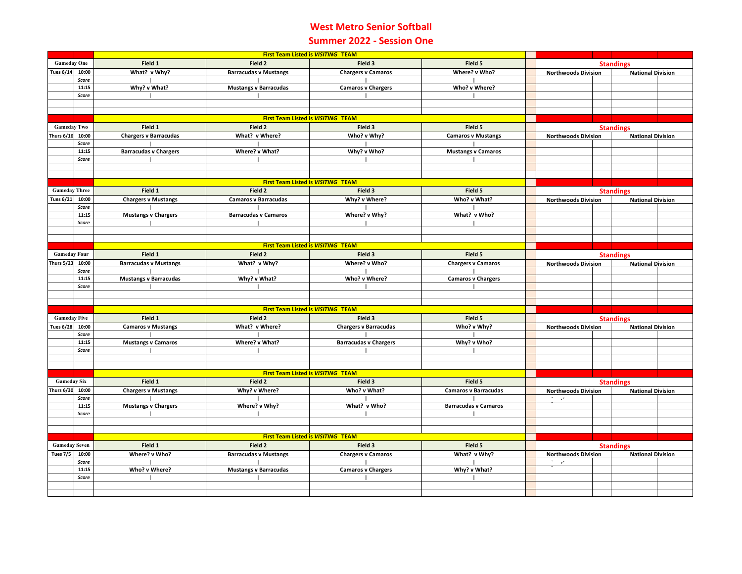## **West Metro Senior Softball Summer 2022 - Session One**

|                      |                | First Team Listed is VISITING TEAM        |                                           |                              |                             |                  |                                                        |  |                          |                          |  |
|----------------------|----------------|-------------------------------------------|-------------------------------------------|------------------------------|-----------------------------|------------------|--------------------------------------------------------|--|--------------------------|--------------------------|--|
| <b>Gameday One</b>   |                | Field 1                                   | Field 2                                   | Field 3                      | Field 5                     |                  | <b>Standings</b>                                       |  |                          |                          |  |
| <b>Tues 6/14</b>     | 10:00          | What? v Why?                              | <b>Barracudas v Mustangs</b>              | <b>Chargers v Camaros</b>    | Where? v Who?               |                  | <b>Northwoods Division</b>                             |  | <b>National Division</b> |                          |  |
|                      | Score          |                                           |                                           |                              |                             |                  |                                                        |  |                          |                          |  |
|                      | 11:15          | Why? v What?                              | <b>Mustangs v Barracudas</b>              | <b>Camaros v Chargers</b>    | Who? v Where?               |                  |                                                        |  |                          |                          |  |
|                      | Score          |                                           |                                           |                              |                             |                  |                                                        |  |                          |                          |  |
|                      |                |                                           |                                           |                              |                             |                  |                                                        |  |                          |                          |  |
|                      |                |                                           |                                           |                              |                             |                  |                                                        |  |                          |                          |  |
|                      |                |                                           | First Team Listed is VISITING TEAM        |                              |                             |                  |                                                        |  |                          |                          |  |
| <b>Gameday Two</b>   |                | Field 1                                   | Field 2                                   | Field 3                      | Field 5                     |                  | <b>Standings</b>                                       |  |                          |                          |  |
| <b>Thurs 6/16</b>    | 10:00          | <b>Chargers v Barracudas</b>              | What? v Where?                            | Who? v Why?                  | <b>Camaros v Mustangs</b>   |                  | <b>Northwoods Division</b><br><b>National Division</b> |  |                          |                          |  |
|                      | Score<br>11:15 | <b>Barracudas v Chargers</b>              | Where? v What?                            | Why? v Who?                  | <b>Mustangs v Camaros</b>   |                  |                                                        |  |                          |                          |  |
|                      | Score          |                                           |                                           |                              |                             |                  |                                                        |  |                          |                          |  |
|                      |                |                                           |                                           |                              |                             |                  |                                                        |  |                          |                          |  |
|                      |                |                                           |                                           |                              |                             |                  |                                                        |  |                          |                          |  |
|                      |                | <b>First Team Listed is VISITING TEAM</b> |                                           |                              |                             |                  |                                                        |  |                          |                          |  |
| <b>Gameday Three</b> |                | Field 1                                   | Field 2                                   | Field 3                      | Field 5                     | <b>Standings</b> |                                                        |  |                          |                          |  |
| <b>Tues 6/21</b>     | 10:00          | <b>Chargers v Mustangs</b>                | <b>Camaros v Barracudas</b>               | Why? v Where?                | Who? v What?                |                  | <b>Northwoods Division</b>                             |  | <b>National Division</b> |                          |  |
|                      | Score          |                                           |                                           |                              |                             |                  |                                                        |  |                          |                          |  |
|                      | 11:15          | <b>Mustangs v Chargers</b>                | <b>Barracudas v Camaros</b>               | Where? v Why?                | What? v Who?                |                  |                                                        |  |                          |                          |  |
|                      | Score          |                                           |                                           |                              |                             |                  |                                                        |  |                          |                          |  |
|                      |                |                                           |                                           |                              |                             |                  |                                                        |  |                          |                          |  |
|                      |                |                                           | <b>First Team Listed is VISITING TEAM</b> |                              |                             |                  |                                                        |  |                          |                          |  |
| <b>Gameday Four</b>  |                | Field 1                                   | Field 2                                   | Field 3                      | Field 5                     |                  |                                                        |  |                          |                          |  |
| <b>Thurs 5/23</b>    | 10:00          |                                           | What? v Why?                              | Where? v Who?                |                             |                  |                                                        |  | <b>Standings</b>         |                          |  |
|                      | Score          | <b>Barracudas v Mustangs</b>              |                                           |                              | <b>Chargers v Camaros</b>   |                  | <b>Northwoods Division</b>                             |  |                          | <b>National Division</b> |  |
|                      | 11:15          | <b>Mustangs v Barracudas</b>              | Why? v What?                              | Who? v Where?                | <b>Camaros v Chargers</b>   |                  |                                                        |  |                          |                          |  |
|                      | Score          |                                           |                                           |                              |                             |                  |                                                        |  |                          |                          |  |
|                      |                |                                           |                                           |                              |                             |                  |                                                        |  |                          |                          |  |
|                      |                |                                           |                                           |                              |                             |                  |                                                        |  |                          |                          |  |
|                      |                |                                           | First Team Listed is VISITING TEAM        |                              |                             |                  |                                                        |  |                          |                          |  |
| <b>Gameday Five</b>  |                | Field 1                                   | Field 2                                   | Field 3                      | Field 5                     |                  | <b>Standings</b>                                       |  |                          |                          |  |
| <b>Tues 6/28</b>     | 10:00          | <b>Camaros v Mustangs</b>                 | What? v Where?                            | <b>Chargers v Barracudas</b> | Who? v Why?                 |                  | <b>Northwoods Division</b>                             |  | <b>National Division</b> |                          |  |
|                      | Score          |                                           |                                           |                              |                             |                  |                                                        |  |                          |                          |  |
|                      | 11:15          | <b>Mustangs v Camaros</b>                 | Where? v What?                            | <b>Barracudas v Chargers</b> | Why? v Who?                 |                  |                                                        |  |                          |                          |  |
|                      | Score          |                                           |                                           |                              |                             |                  |                                                        |  |                          |                          |  |
|                      |                |                                           |                                           |                              |                             |                  |                                                        |  |                          |                          |  |
|                      |                |                                           | First Team Listed is VISITING TEAM        |                              |                             |                  |                                                        |  |                          |                          |  |
| <b>Gameday Six</b>   |                | Field 1<br>Field 2<br>Field 3<br>Field 5  |                                           |                              |                             | <b>Standings</b> |                                                        |  |                          |                          |  |
| Thurs 6/30           | 10:00          | <b>Chargers v Mustangs</b>                | Why? v Where?                             | Who? v What?                 | <b>Camaros v Barracudas</b> |                  | <b>Northwoods Division</b>                             |  | <b>National Division</b> |                          |  |
|                      | Score          |                                           |                                           |                              |                             |                  | $\mathcal{C}=\mathcal{C}$                              |  |                          |                          |  |
|                      | 11:15          | <b>Mustangs v Chargers</b>                | Where? v Why?                             | What? v Who?                 | <b>Barracudas v Camaros</b> |                  |                                                        |  |                          |                          |  |
|                      | Score          |                                           |                                           |                              |                             |                  |                                                        |  |                          |                          |  |
|                      |                |                                           |                                           |                              |                             |                  |                                                        |  |                          |                          |  |
|                      |                |                                           |                                           |                              |                             |                  |                                                        |  |                          |                          |  |
|                      |                | <b>First Team Listed is VISITING TEAM</b> |                                           |                              |                             |                  |                                                        |  |                          |                          |  |
| <b>Gameday Seven</b> |                | Field 1                                   | Field 2                                   | Field 3                      | Field 5                     |                  | <b>Standings</b>                                       |  |                          |                          |  |
| <b>Tues 7/5</b>      | 10:00          | Where? v Who?                             | <b>Barracudas v Mustangs</b>              | <b>Chargers v Camaros</b>    | What? v Why?                |                  | <b>Northwoods Division</b>                             |  | <b>National Division</b> |                          |  |
|                      | Score<br>11:15 | Who? v Where?                             | <b>Mustangs v Barracudas</b>              | <b>Camaros v Chargers</b>    | Why? v What?                |                  | $\sigma^2 = 100$                                       |  |                          |                          |  |
|                      | Score          |                                           |                                           |                              |                             |                  |                                                        |  |                          |                          |  |
|                      |                |                                           |                                           |                              |                             |                  |                                                        |  |                          |                          |  |
|                      |                |                                           |                                           |                              |                             |                  |                                                        |  |                          |                          |  |
|                      |                |                                           |                                           |                              |                             |                  |                                                        |  |                          |                          |  |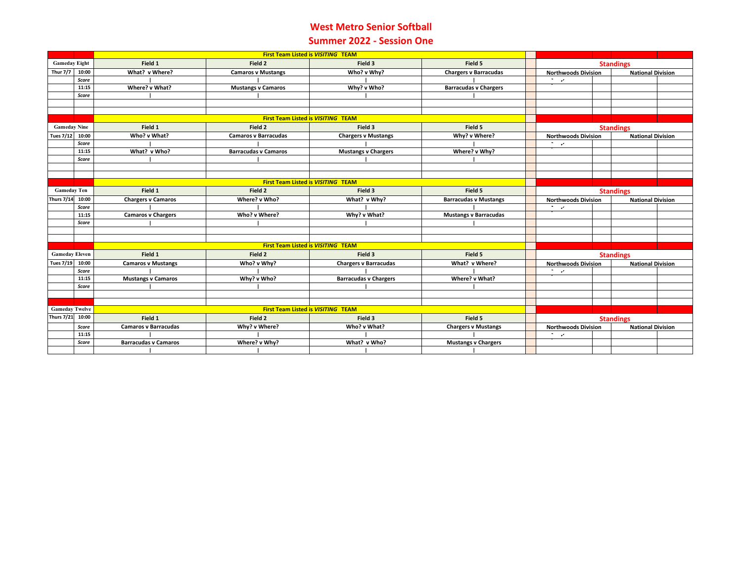## **West Metro Senior Softball Summer 2022 - Session One**

|                                                                    |                                           | <b>First Team Listed is VISITING TEAM</b>                       |                                           |                              |                              |                            |                                                        |  |                          |  |
|--------------------------------------------------------------------|-------------------------------------------|-----------------------------------------------------------------|-------------------------------------------|------------------------------|------------------------------|----------------------------|--------------------------------------------------------|--|--------------------------|--|
| <b>Gameday Eight</b>                                               |                                           | Field 1                                                         | Field 2                                   | Field 3                      | Field 5                      |                            | <b>Standings</b>                                       |  |                          |  |
| <b>Thur 7/7</b>                                                    | 10:00                                     | What? v Where?                                                  | <b>Camaros v Mustangs</b>                 | Who? v Why?                  | <b>Chargers v Barracudas</b> |                            | <b>Northwoods Division</b>                             |  | <b>National Division</b> |  |
|                                                                    | Score                                     |                                                                 |                                           |                              |                              | <u>та и с</u>              |                                                        |  |                          |  |
|                                                                    | 11:15                                     | Where? v What?                                                  | <b>Mustangs v Camaros</b>                 | Why? v Who?                  | <b>Barracudas v Chargers</b> |                            |                                                        |  |                          |  |
|                                                                    | Score                                     |                                                                 |                                           |                              |                              |                            |                                                        |  |                          |  |
|                                                                    |                                           |                                                                 |                                           |                              |                              |                            |                                                        |  |                          |  |
|                                                                    |                                           |                                                                 |                                           |                              |                              |                            |                                                        |  |                          |  |
|                                                                    | <b>First Team Listed is VISITING TEAM</b> |                                                                 |                                           |                              |                              |                            |                                                        |  |                          |  |
| <b>Gameday Nine</b>                                                |                                           | Field 1                                                         | Field 2                                   | Field 3                      | Field 5                      |                            | <b>Standings</b>                                       |  |                          |  |
| <b>Tues 7/12</b>                                                   | 10:00                                     | Who? v What?                                                    | <b>Camaros v Barracudas</b>               | <b>Chargers v Mustangs</b>   | Why? v Where?                |                            | <b>Northwoods Division</b><br><b>National Division</b> |  |                          |  |
|                                                                    | Score                                     |                                                                 |                                           |                              |                              | $\sigma_{\rm{max}}$        |                                                        |  |                          |  |
|                                                                    | 11:15                                     | What? v Who?                                                    | <b>Barracudas v Camaros</b>               | <b>Mustangs v Chargers</b>   | Where? v Why?                |                            |                                                        |  |                          |  |
|                                                                    | Score                                     |                                                                 |                                           |                              |                              |                            |                                                        |  |                          |  |
|                                                                    |                                           |                                                                 |                                           |                              |                              |                            |                                                        |  |                          |  |
|                                                                    |                                           |                                                                 |                                           |                              |                              |                            |                                                        |  |                          |  |
|                                                                    |                                           | <b>First Team Listed is VISITING TEAM</b><br>Field 1<br>Field 5 |                                           |                              |                              |                            |                                                        |  |                          |  |
| <b>Gameday Ten</b>                                                 |                                           |                                                                 | Field 2                                   | Field 3                      |                              |                            | <b>Standings</b><br><b>National Division</b>           |  |                          |  |
| <b>Thurs 7/14</b>                                                  | 10:00                                     | <b>Chargers v Camaros</b>                                       | Where? v Who?                             | What? v Why?                 | <b>Barracudas v Mustangs</b> | т.,                        | <b>Northwoods Division</b>                             |  |                          |  |
|                                                                    | Score<br>11:15                            | <b>Camaros v Chargers</b>                                       | Who? v Where?                             | Why? v What?                 | <b>Mustangs v Barracudas</b> |                            |                                                        |  |                          |  |
|                                                                    | Score                                     |                                                                 |                                           |                              |                              |                            |                                                        |  |                          |  |
|                                                                    |                                           |                                                                 |                                           |                              |                              |                            |                                                        |  |                          |  |
|                                                                    |                                           |                                                                 |                                           |                              |                              |                            |                                                        |  |                          |  |
|                                                                    |                                           |                                                                 | <b>First Team Listed is VISITING TEAM</b> |                              |                              |                            |                                                        |  |                          |  |
| <b>Gameday Eleven</b>                                              |                                           | Field 1<br>Field 3<br>Field 5<br>Field 2                        |                                           |                              |                              |                            | <b>Standings</b>                                       |  |                          |  |
| <b>Tues 7/19</b>                                                   | 10:00                                     | <b>Camaros v Mustangs</b>                                       | Who? v Why?                               | <b>Chargers v Barracudas</b> | What? v Where?               | <b>Northwoods Division</b> |                                                        |  | <b>National Division</b> |  |
|                                                                    | Score                                     |                                                                 |                                           |                              |                              | <b>State</b>               |                                                        |  |                          |  |
|                                                                    | 11:15                                     | <b>Mustangs v Camaros</b>                                       | Why? v Who?                               | <b>Barracudas v Chargers</b> | Where? v What?               |                            |                                                        |  |                          |  |
|                                                                    | Score                                     |                                                                 |                                           |                              |                              |                            |                                                        |  |                          |  |
|                                                                    |                                           |                                                                 |                                           |                              |                              |                            |                                                        |  |                          |  |
|                                                                    |                                           |                                                                 |                                           |                              |                              |                            |                                                        |  |                          |  |
| <b>First Team Listed is VISITING TEAM</b><br><b>Gameday Twelve</b> |                                           |                                                                 |                                           |                              |                              |                            |                                                        |  |                          |  |
| <b>Thurs 7/21</b>                                                  | 10:00                                     | Field 1                                                         | Field 2                                   | Field 3                      | Field 5                      |                            | <b>Standings</b>                                       |  |                          |  |
|                                                                    | Score                                     | <b>Camaros v Barracudas</b>                                     | Why? v Where?                             | Who? v What?                 | <b>Chargers v Mustangs</b>   |                            | <b>Northwoods Division</b><br><b>National Division</b> |  |                          |  |
|                                                                    | 11:15                                     |                                                                 |                                           |                              |                              | 75 G                       |                                                        |  |                          |  |
|                                                                    | Score                                     | <b>Barracudas v Camaros</b>                                     | Where? v Why?                             | What? v Who?                 | <b>Mustangs v Chargers</b>   |                            |                                                        |  |                          |  |
|                                                                    |                                           |                                                                 |                                           |                              |                              |                            |                                                        |  |                          |  |